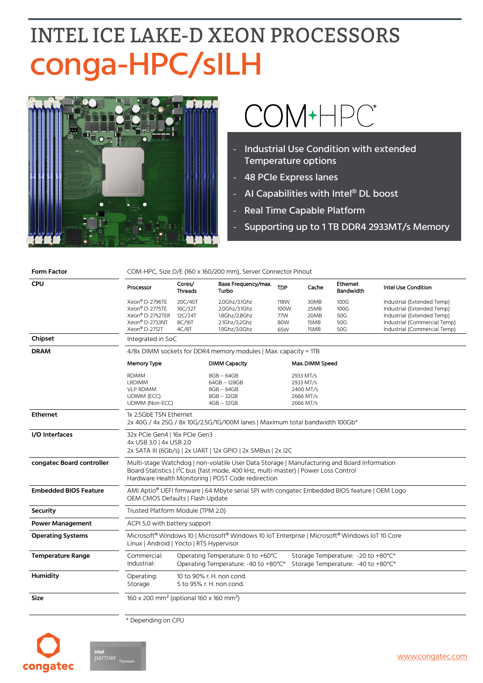## **INTEL ICE LAKE-D XEON PROCESSORS** conga-HPC/sILH



# COM+HPC®

- Industrial Use Condition with extended Temperature options
- 48 PCIe Express lanes
- AI Capabilities with Intel® DL boost
- Real Time Capable Platform
- Supporting up to 1 TB DDR4 2933MT/s Memory

| <b>Form Factor</b>           | COM-HPC, Size D/E (160 x 160/200 mm), Server Connector Pinout                                                                                                                                                                                        |                                                                 |                                                                                   |                                                               |                                      |                                                                           |                                                                                                                                                        |  |  |
|------------------------------|------------------------------------------------------------------------------------------------------------------------------------------------------------------------------------------------------------------------------------------------------|-----------------------------------------------------------------|-----------------------------------------------------------------------------------|---------------------------------------------------------------|--------------------------------------|---------------------------------------------------------------------------|--------------------------------------------------------------------------------------------------------------------------------------------------------|--|--|
| <b>CPU</b>                   | Processor                                                                                                                                                                                                                                            | Cores/<br>Threads                                               | Base Frequency/max.<br>Turbo                                                      | <b>TDP</b>                                                    | Cache                                | Ethernet<br><b>Bandwidth</b>                                              | Intel Use Condition                                                                                                                                    |  |  |
|                              | Xeon® D-2796TE<br>Xeon® D-2775TE<br>Xeon® D-2752TER<br>Xeon® D-2733NT<br>Xeon® D-2712T                                                                                                                                                               | 20C/40T<br>16C/32T<br>12C/24T<br>8C/16T<br>4C/8T                | 2.0Ghz/3.1Ghz<br>2.0Ghz/3.1Ghz<br>1.8Ghz/2.8Ghz<br>2.1Ghz/3.2Ghz<br>1.9Ghz/3.0Ghz | 118W<br>100W<br>77W<br>80W<br>65W                             | 30MB<br>25MB<br>20MB<br>15MB<br>15MB | 100G<br>100G<br>50G<br>50G<br>50G                                         | Industrial (Extended Temp)<br>Industrial (Extended Temp)<br>Industrial (Extended Temp)<br>Industrial (Commercial Temp)<br>Industrial (Commercial Temp) |  |  |
| Chipset                      | Integrated in SoC                                                                                                                                                                                                                                    |                                                                 |                                                                                   |                                                               |                                      |                                                                           |                                                                                                                                                        |  |  |
| <b>DRAM</b>                  |                                                                                                                                                                                                                                                      | 4/8x DIMM sockets for DDR4 memory modules   Max. capacity = 1TB |                                                                                   |                                                               |                                      |                                                                           |                                                                                                                                                        |  |  |
|                              | <b>Memory Type</b>                                                                                                                                                                                                                                   |                                                                 | <b>DIMM Capacity</b>                                                              | Max. DIMM Speed                                               |                                      |                                                                           |                                                                                                                                                        |  |  |
|                              | <b>RDIMM</b><br><b>LRDIMM</b><br><b>VLP RDIMM</b><br>UDIMM (ECC)<br><b>UDIMM (Non-ECC)</b>                                                                                                                                                           |                                                                 | 8GB - 64GB<br>64GB - 128GB<br>8GB - 64GB<br>8GB - 32GB<br>4GB - 32GB              | 2933 MT/s<br>2933 MT/s<br>2400 MT/s<br>2666 MT/s<br>2666 MT/s |                                      |                                                                           |                                                                                                                                                        |  |  |
| <b>Ethernet</b>              | 1x 2.5GbE TSN Ethernet<br>2x 40G / 4x 25G / 8x 10G/2.5G/1G/100M lanes   Maximum total bandwidth 100Gb*                                                                                                                                               |                                                                 |                                                                                   |                                                               |                                      |                                                                           |                                                                                                                                                        |  |  |
| I/O Interfaces               | 32x PCIe Gen4   16x PCIe Gen3<br>4x USB 3.0   4x USB 2.0<br>2x SATA III (6Gb/s)   2x UART   12x GPIO   2x SMBus   2x I2C                                                                                                                             |                                                                 |                                                                                   |                                                               |                                      |                                                                           |                                                                                                                                                        |  |  |
| congatec Board controller    | Multi-stage Watchdog   non-volatile User Data Storage   Manufacturing and Board Information<br>Board Statistics   I <sup>2</sup> C bus (fast mode, 400 kHz, multi-master)   Power Loss Control<br>Hardware Health Monitoring   POST Code redirection |                                                                 |                                                                                   |                                                               |                                      |                                                                           |                                                                                                                                                        |  |  |
| <b>Embedded BIOS Feature</b> | AMI Aptio® UEFI firmware   64 Mbyte serial SPI with congatec Embedded BIOS feature   OEM Logo<br>OEM CMOS Defaults   Flash Update                                                                                                                    |                                                                 |                                                                                   |                                                               |                                      |                                                                           |                                                                                                                                                        |  |  |
| <b>Security</b>              | Trusted Platform Module (TPM 2.0)                                                                                                                                                                                                                    |                                                                 |                                                                                   |                                                               |                                      |                                                                           |                                                                                                                                                        |  |  |
| <b>Power Management</b>      | ACPI 5.0 with battery support                                                                                                                                                                                                                        |                                                                 |                                                                                   |                                                               |                                      |                                                                           |                                                                                                                                                        |  |  |
| <b>Operating Systems</b>     | Microsoft <sup>®</sup> Windows 10   Microsoft <sup>®</sup> Windows 10 IoT Enterprise   Microsoft <sup>®</sup> Windows IoT 10 Core<br>Linux   Android   Yocto   RTS Hypervisor                                                                        |                                                                 |                                                                                   |                                                               |                                      |                                                                           |                                                                                                                                                        |  |  |
| <b>Temperature Range</b>     | Commercial:<br>Industrial:                                                                                                                                                                                                                           |                                                                 | Operating Temperature: 0 to +60°C<br>Operating Temperature: -40 to +80°C*         |                                                               |                                      | Storage Temperature: - 20 to +80°C*<br>Storage Temperature: -40 to +80°C* |                                                                                                                                                        |  |  |
| <b>Humidity</b>              | Operating:<br>10 to 90% r. H. non cond.<br>Storage<br>5 to 95% r. H. non cond.                                                                                                                                                                       |                                                                 |                                                                                   |                                                               |                                      |                                                                           |                                                                                                                                                        |  |  |
| <b>Size</b>                  |                                                                                                                                                                                                                                                      | 160 x 200 mm <sup>2</sup> (optional 160 x 160 mm <sup>2</sup> ) |                                                                                   |                                                               |                                      |                                                                           |                                                                                                                                                        |  |  |

\* Depending on CPU

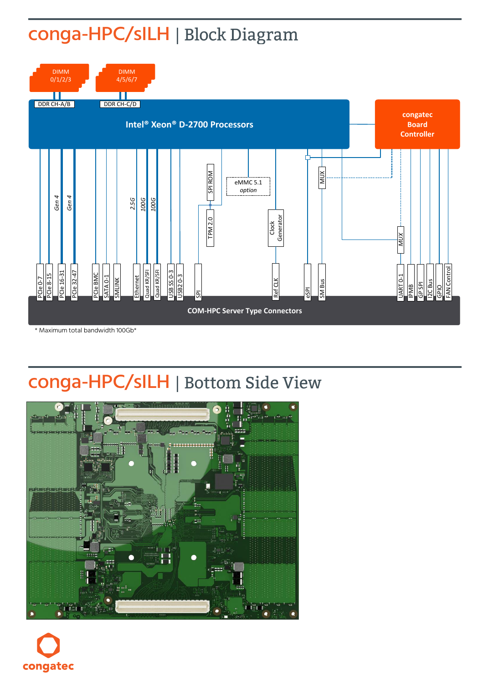#### conga-HPC/sILH | Block Diagram



#### conga-HPC/sILH | Bottom Side View



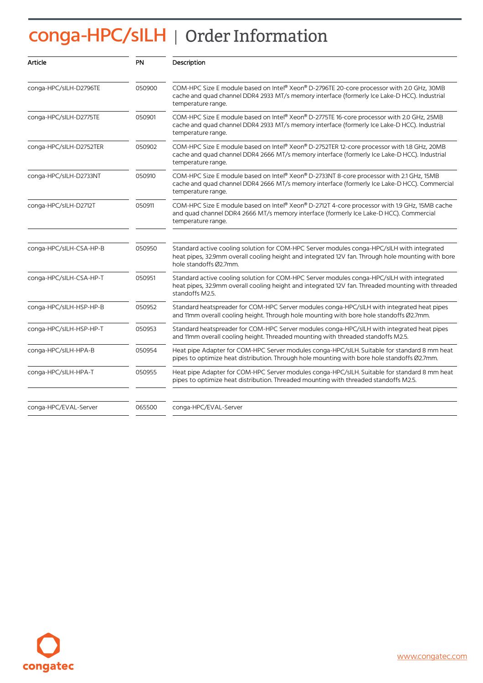### conga-HPC/sILH | Order Information

| Article                 | <b>PN</b> | Description                                                                                                                                                                                                               |  |  |
|-------------------------|-----------|---------------------------------------------------------------------------------------------------------------------------------------------------------------------------------------------------------------------------|--|--|
| conga-HPC/sILH-D2796TE  | 050900    | COM-HPC Size E module based on Intel® Xeon® D-2796TE 20-core processor with 2.0 GHz, 30MB<br>cache and quad channel DDR4 2933 MT/s memory interface (formerly Ice Lake-D HCC). Industrial<br>temperature range.           |  |  |
| conga-HPC/sILH-D2775TE  | 050901    | COM-HPC Size E module based on Intel® Xeon® D-2775TE 16-core processor with 2.0 GHz, 25MB<br>cache and quad channel DDR4 2933 MT/s memory interface (formerly Ice Lake-D HCC). Industrial<br>temperature range.           |  |  |
| conga-HPC/sILH-D2752TER | 050902    | COM-HPC Size E module based on Intel® Xeon® D-2752TER 12-core processor with 1.8 GHz, 20MB<br>cache and quad channel DDR4 2666 MT/s memory interface (formerly Ice Lake-D HCC). Industrial<br>temperature range.          |  |  |
| conga-HPC/sILH-D2733NT  | 050910    | COM-HPC Size E module based on Intel® Xeon® D-2733NT 8-core processor with 2.1 GHz, 15MB<br>cache and quad channel DDR4 2666 MT/s memory interface (formerly Ice Lake-D HCC). Commercial<br>temperature range.            |  |  |
| conga-HPC/sILH-D2712T   | 050911    | COM-HPC Size E module based on Intel® Xeon® D-2712T 4-core processor with 1.9 GHz, 15MB cache<br>and quad channel DDR4 2666 MT/s memory interface (formerly Ice Lake-D HCC). Commercial<br>temperature range.             |  |  |
| conga-HPC/sILH-CSA-HP-B | 050950    | Standard active cooling solution for COM-HPC Server modules conga-HPC/sILH with integrated<br>heat pipes, 32.9mm overall cooling height and integrated 12V fan. Through hole mounting with bore<br>hole standoffs Ø2.7mm. |  |  |
| conga-HPC/sILH-CSA-HP-T | 050951    | Standard active cooling solution for COM-HPC Server modules conga-HPC/sILH with integrated<br>heat pipes, 32.9mm overall cooling height and integrated 12V fan. Threaded mounting with threaded<br>standoffs M2.5.        |  |  |
| conga-HPC/sILH-HSP-HP-B | 050952    | Standard heatspreader for COM-HPC Server modules conga-HPC/sILH with integrated heat pipes<br>and 11mm overall cooling height. Through hole mounting with bore hole standoffs Ø2.7mm.                                     |  |  |
| conga-HPC/sILH-HSP-HP-T | 050953    | Standard heatspreader for COM-HPC Server modules conga-HPC/sILH with integrated heat pipes<br>and 11mm overall cooling height. Threaded mounting with threaded standoffs M2.5.                                            |  |  |
| conga-HPC/sILH-HPA-B    | 050954    | Heat pipe Adapter for COM-HPC Server modules conga-HPC/sILH. Suitable for standard 8 mm heat<br>pipes to optimize heat distribution. Through hole mounting with bore hole standoffs Ø2.7mm.                               |  |  |
| conga-HPC/sILH-HPA-T    | 050955    | Heat pipe Adapter for COM-HPC Server modules conga-HPC/sILH. Suitable for standard 8 mm heat<br>pipes to optimize heat distribution. Threaded mounting with threaded standoffs M2.5.                                      |  |  |
| conga-HPC/EVAL-Server   | 065500    | conga-HPC/EVAL-Server                                                                                                                                                                                                     |  |  |